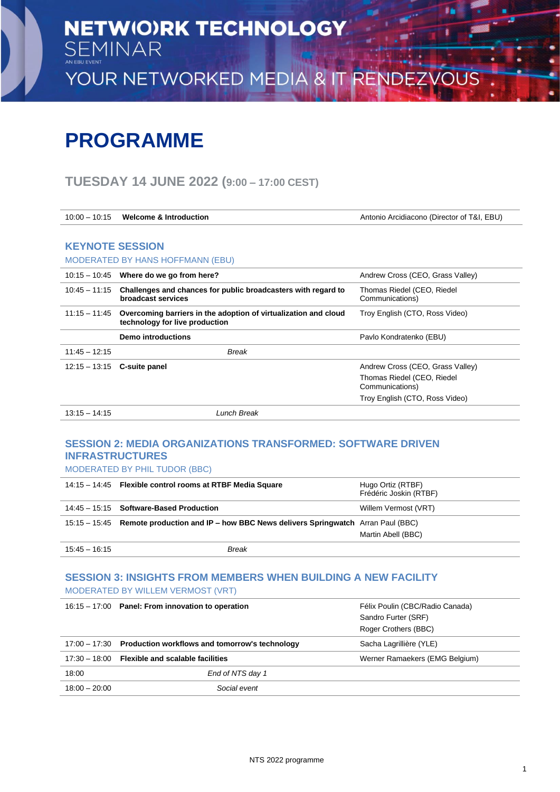# **PROGRAMME**

## **TUESDAY 14 JUNE 2022 (9:00 – 17:00 CEST)**

| $10:00 - 10:15$ | <b>Welcome &amp; Introduction</b>                                                                 | Antonio Arcidiacono (Director of T&I, EBU)    |
|-----------------|---------------------------------------------------------------------------------------------------|-----------------------------------------------|
|                 |                                                                                                   |                                               |
|                 | <b>KEYNOTE SESSION</b>                                                                            |                                               |
|                 | <b>MODERATED BY HANS HOFFMANN (EBU)</b>                                                           |                                               |
|                 | $10:15 - 10:45$ Where do we go from here?                                                         | Andrew Cross (CEO, Grass Valley)              |
| $10:45 - 11:15$ | Challenges and chances for public broadcasters with regard to<br>broadcast services               | Thomas Riedel (CEO, Riedel<br>Communications) |
| 11:15 – 11:45   | Overcoming barriers in the adoption of virtualization and cloud<br>technology for live production | Troy English (CTO, Ross Video)                |
|                 | <b>Demo introductions</b>                                                                         | Pavlo Kondratenko (EBU)                       |
| $11:45 - 12:15$ | <b>Break</b>                                                                                      |                                               |
| $12:15 - 13:15$ | <b>C-suite panel</b>                                                                              | Andrew Cross (CEO, Grass Valley)              |
|                 |                                                                                                   | Thomas Riedel (CEO, Riedel<br>Communications) |
|                 |                                                                                                   | Troy English (CTO, Ross Video)                |
| $13.15 - 14.15$ | Lunch Break                                                                                       |                                               |

### **SESSION 2: MEDIA ORGANIZATIONS TRANSFORMED: SOFTWARE DRIVEN INFRASTRUCTURES**

MODERATED BY PHIL TUDOR (BBC)

|                 | 14:15 - 14:45 Flexible control rooms at RTBF Media Square                                   | Hugo Ortiz (RTBF)<br>Frédéric Joskin (RTBF) |
|-----------------|---------------------------------------------------------------------------------------------|---------------------------------------------|
|                 | 14:45 - 15:15 Software-Based Production                                                     | Willem Vermost (VRT)                        |
|                 | 15:15 – 15:45 Remote production and IP – how BBC News delivers Springwatch Arran Paul (BBC) |                                             |
|                 |                                                                                             | Martin Abell (BBC)                          |
| $15:45 - 16:15$ | Break                                                                                       |                                             |

#### **SESSION 3: INSIGHTS FROM MEMBERS WHEN BUILDING A NEW FACILITY**  MODERATED BY WILLEM VERMOST (VRT)

|                 | 16:15 - 17:00 Panel: From innovation to operation            | Félix Poulin (CBC/Radio Canada) |
|-----------------|--------------------------------------------------------------|---------------------------------|
|                 |                                                              | Sandro Furter (SRF)             |
|                 |                                                              | Roger Crothers (BBC)            |
|                 | 17:00 - 17:30 Production workflows and tomorrow's technology | Sacha Lagrillière (YLE)         |
|                 | $17:30 - 18:00$ Flexible and scalable facilities             | Werner Ramaekers (EMG Belgium)  |
| 18:00           | End of NTS day 1                                             |                                 |
| $18:00 - 20:00$ | Social event                                                 |                                 |